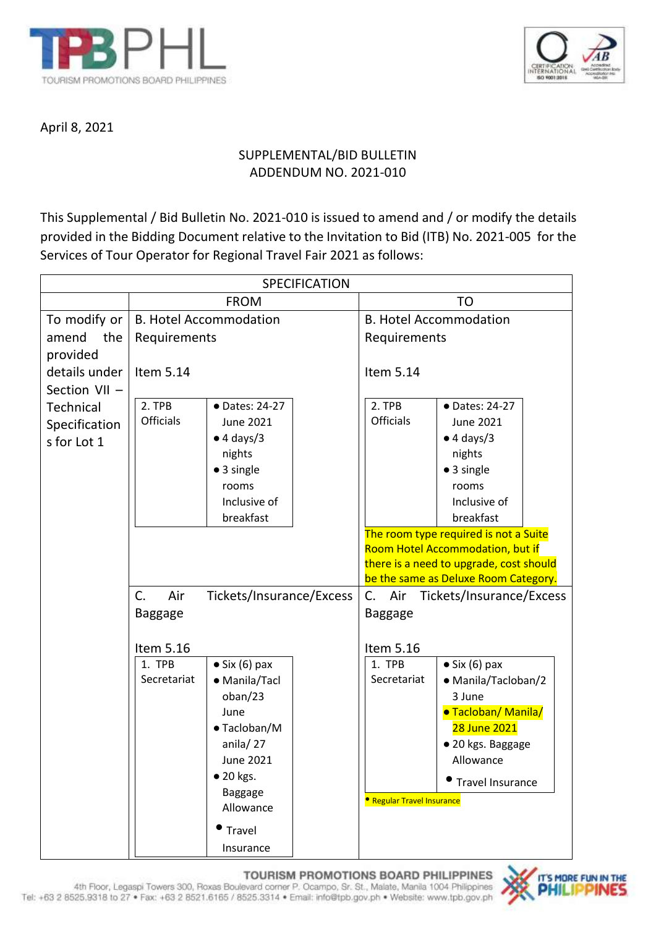



April 8, 2021

# SUPPLEMENTAL/BID BULLETIN ADDENDUM NO. 2021-010

This Supplemental / Bid Bulletin No. 2021-010 is issued to amend and / or modify the details provided in the Bidding Document relative to the Invitation to Bid (ITB) No. 2021-005 for the Services of Tour Operator for Regional Travel Fair 2021 as follows:

| <b>SPECIFICATION</b> |                                                |                                 |                                                                           |                               |                           |  |
|----------------------|------------------------------------------------|---------------------------------|---------------------------------------------------------------------------|-------------------------------|---------------------------|--|
|                      | <b>FROM</b>                                    |                                 |                                                                           | TO                            |                           |  |
| To modify or         | <b>B. Hotel Accommodation</b>                  |                                 |                                                                           | <b>B. Hotel Accommodation</b> |                           |  |
| amend<br>the         | Requirements                                   |                                 |                                                                           | Requirements                  |                           |  |
| provided             |                                                |                                 |                                                                           |                               |                           |  |
| details under        | Item 5.14                                      |                                 |                                                                           | Item 5.14                     |                           |  |
| Section VII -        |                                                |                                 |                                                                           |                               |                           |  |
| Technical            | 2. TPB                                         | • Dates: 24-27                  |                                                                           | 2. TPB                        | • Dates: 24-27            |  |
| Specification        | <b>Officials</b>                               | <b>June 2021</b>                |                                                                           | <b>Officials</b>              | June 2021                 |  |
| s for Lot 1          |                                                | $\bullet$ 4 days/3              |                                                                           |                               | $\bullet$ 4 days/3        |  |
|                      |                                                | nights                          |                                                                           |                               | nights                    |  |
|                      |                                                | • 3 single                      |                                                                           |                               | • 3 single                |  |
|                      |                                                | rooms                           |                                                                           |                               | rooms                     |  |
|                      |                                                | Inclusive of                    |                                                                           |                               | Inclusive of<br>breakfast |  |
| breakfast            |                                                |                                 |                                                                           |                               |                           |  |
|                      |                                                |                                 | The room type required is not a Suite<br>Room Hotel Accommodation, but if |                               |                           |  |
|                      |                                                |                                 | there is a need to upgrade, cost should                                   |                               |                           |  |
|                      |                                                |                                 | be the same as Deluxe Room Category.                                      |                               |                           |  |
|                      | $C_{\cdot}$<br>Tickets/Insurance/Excess<br>Air |                                 | C.<br>Tickets/Insurance/Excess<br>Air                                     |                               |                           |  |
|                      | <b>Baggage</b>                                 |                                 |                                                                           | Baggage                       |                           |  |
|                      |                                                |                                 |                                                                           |                               |                           |  |
|                      | Item 5.16                                      |                                 |                                                                           | Item 5.16                     |                           |  |
|                      | 1. TPB                                         | $\bullet$ Six (6) pax           |                                                                           | 1. TPB                        | $\bullet$ Six (6) pax     |  |
|                      | Secretariat                                    | • Manila/Tacl                   |                                                                           | Secretariat                   | • Manila/Tacloban/2       |  |
|                      |                                                | oban/23                         |                                                                           |                               | 3 June                    |  |
|                      |                                                | June                            |                                                                           |                               | ·Tacloban/Manila/         |  |
|                      |                                                | • Tacloban/M                    |                                                                           |                               | 28 June 2021              |  |
|                      |                                                | anila/ $27$<br><b>June 2021</b> |                                                                           |                               | · 20 kgs. Baggage         |  |
|                      |                                                | • 20 kgs.                       |                                                                           |                               | Allowance                 |  |
|                      |                                                | Baggage                         |                                                                           |                               | <b>•</b> Travel Insurance |  |
| Allowance            |                                                |                                 | <b>• Regular Travel Insurance</b>                                         |                               |                           |  |
|                      |                                                | Travel                          |                                                                           |                               |                           |  |
|                      |                                                | Insurance                       |                                                                           |                               |                           |  |

## TOURISM PROMOTIONS BOARD PHILIPPINES

4th Floor, Legaspi Towers 300, Roxas Boulevard comer P. Ocampo, Sr. St., Malate, Manila 1004 Philippines<br>Tel: +63 2 8525.9318 to 27 • Fax: +63 2 8521.6165 / 8525.3314 • Email: info@tpb.gov.ph • Website: www.tpb.gov.ph

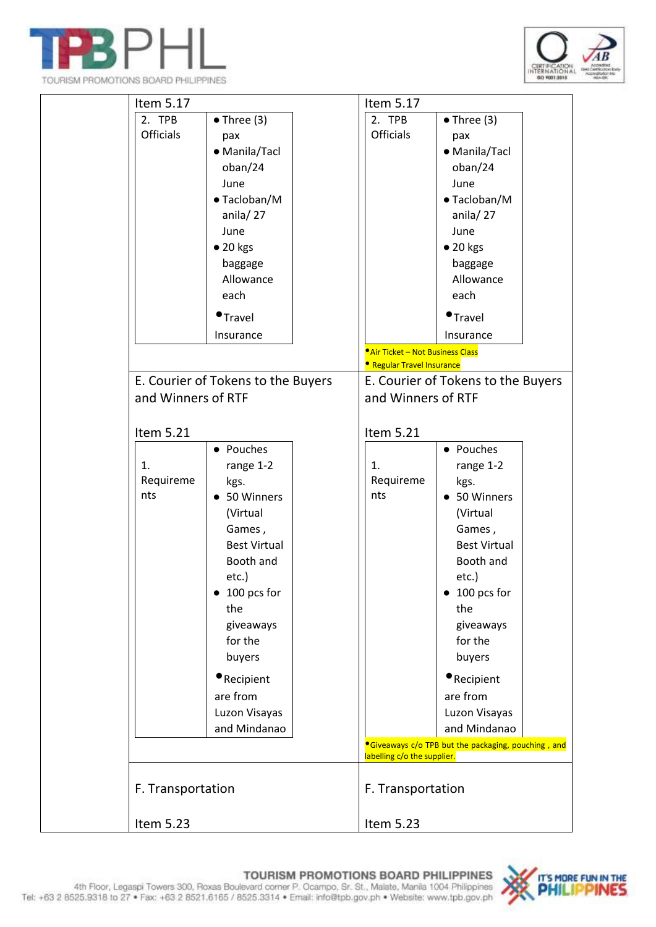



| Item 5.17                  |                                                                                                                                                                                                                                  | Item 5.17                                                            |                                                                                                                                                                                                                                           |  |
|----------------------------|----------------------------------------------------------------------------------------------------------------------------------------------------------------------------------------------------------------------------------|----------------------------------------------------------------------|-------------------------------------------------------------------------------------------------------------------------------------------------------------------------------------------------------------------------------------------|--|
| 2. TPB<br><b>Officials</b> | $\bullet$ Three (3)<br>pax<br>• Manila/Tacl<br>oban/24<br>June<br>• Tacloban/M<br>anila/27<br>June<br>$\bullet$ 20 kgs<br>baggage<br>Allowance<br>each                                                                           | 2. TPB<br><b>Officials</b>                                           | $\bullet$ Three (3)<br>pax<br>• Manila/Tacl<br>oban/24<br>June<br>• Tacloban/M<br>anila/27<br>June<br>$\bullet$ 20 kgs<br>baggage<br>Allowance<br>each                                                                                    |  |
|                            | $\bullet$ Travel                                                                                                                                                                                                                 |                                                                      | $\bullet$ Travel                                                                                                                                                                                                                          |  |
|                            | Insurance                                                                                                                                                                                                                        |                                                                      | Insurance                                                                                                                                                                                                                                 |  |
|                            |                                                                                                                                                                                                                                  | Air Ticket - Not Business Class<br><b>• Regular Travel Insurance</b> |                                                                                                                                                                                                                                           |  |
|                            | E. Courier of Tokens to the Buyers                                                                                                                                                                                               |                                                                      | E. Courier of Tokens to the Buyers                                                                                                                                                                                                        |  |
| and Winners of RTF         |                                                                                                                                                                                                                                  | and Winners of RTF                                                   |                                                                                                                                                                                                                                           |  |
| Item 5.21                  | • Pouches                                                                                                                                                                                                                        | Item 5.21                                                            | • Pouches                                                                                                                                                                                                                                 |  |
| 1.<br>Requireme<br>nts     | range 1-2<br>kgs.<br>• 50 Winners<br>(Virtual<br>Games,<br><b>Best Virtual</b><br>Booth and<br>etc.)<br>$\bullet$ 100 pcs for<br>the<br>giveaways<br>for the<br>buyers<br>Recipient<br>are from<br>Luzon Visayas<br>and Mindanao | 1.<br>Requireme<br>nts                                               | range 1-2<br>kgs.<br>• 50 Winners<br>(Virtual<br>Games,<br><b>Best Virtual</b><br>Booth and<br>etc.)<br>$\bullet$ 100 pcs for<br>the<br>giveaways<br>for the<br>buyers<br><b>•</b> Recipient<br>are from<br>Luzon Visayas<br>and Mindanao |  |
|                            |                                                                                                                                                                                                                                  |                                                                      | <sup>o</sup> Giveaways c/o TPB but the packaging, pouching, and                                                                                                                                                                           |  |
| F. Transportation          |                                                                                                                                                                                                                                  | labelling c/o the supplier.<br>F. Transportation                     |                                                                                                                                                                                                                                           |  |
| Item 5.23                  |                                                                                                                                                                                                                                  | Item 5.23                                                            |                                                                                                                                                                                                                                           |  |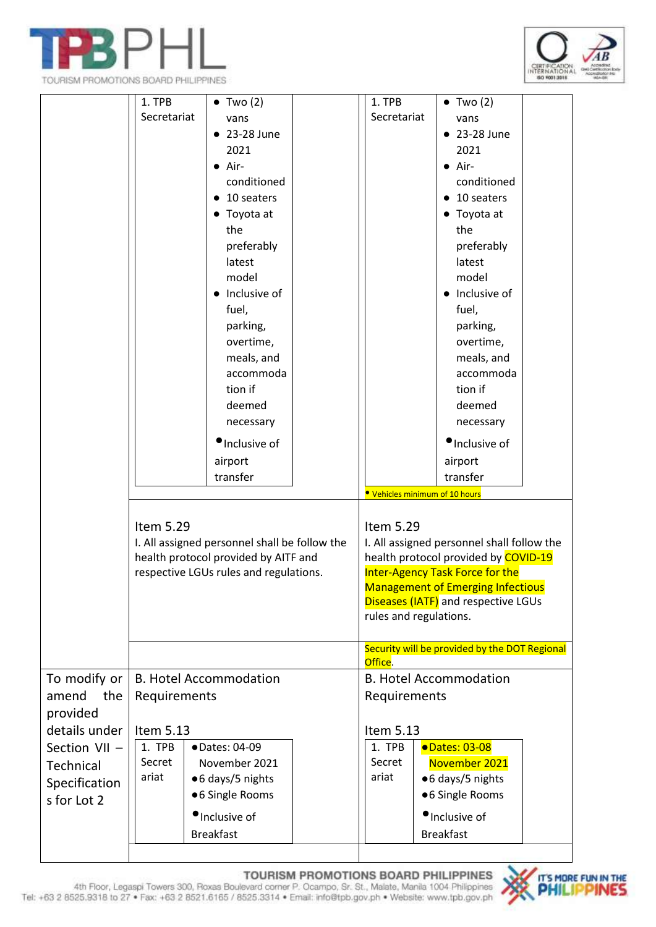

TOURISM PROMOTIONS BOARD PHILIPPINES



|                                          | 1. TPB<br>Secretariat                                                                                                                        | $\bullet$ Two (2)<br>vans<br>• 23-28 June<br>2021<br>$\bullet$ Air-<br>conditioned<br>$\bullet$ 10 seaters<br>• Toyota at<br>the<br>preferably<br>latest<br>model<br>• Inclusive of<br>fuel,<br>parking,<br>overtime,<br>meals, and<br>accommoda<br>tion if<br>deemed<br>necessary<br>· Inclusive of<br>airport<br>transfer |                                                                                                                                                                                                                                                                                   | 1. TPB<br>Secretariat                         | $\bullet$ Two (2)<br>vans<br>• 23-28 June<br>2021<br>$\bullet$ Air-<br>conditioned<br>$\bullet$ 10 seaters<br>• Toyota at<br>the<br>preferably<br>latest<br>model<br>• Inclusive of<br>fuel,<br>parking,<br>overtime,<br>meals, and<br>accommoda<br>tion if<br>deemed<br>necessary<br>Inclusive of<br>airport<br>transfer |
|------------------------------------------|----------------------------------------------------------------------------------------------------------------------------------------------|-----------------------------------------------------------------------------------------------------------------------------------------------------------------------------------------------------------------------------------------------------------------------------------------------------------------------------|-----------------------------------------------------------------------------------------------------------------------------------------------------------------------------------------------------------------------------------------------------------------------------------|-----------------------------------------------|---------------------------------------------------------------------------------------------------------------------------------------------------------------------------------------------------------------------------------------------------------------------------------------------------------------------------|
|                                          | Item 5.29<br>I. All assigned personnel shall be follow the<br>health protocol provided by AITF and<br>respective LGUs rules and regulations. |                                                                                                                                                                                                                                                                                                                             | • Vehicles minimum of 10 hours<br>Item 5.29<br>I. All assigned personnel shall follow the<br>health protocol provided by COVID-19<br>Inter-Agency Task Force for the<br><b>Management of Emerging Infectious</b><br>Diseases (IATF) and respective LGUs<br>rules and regulations. |                                               |                                                                                                                                                                                                                                                                                                                           |
|                                          |                                                                                                                                              |                                                                                                                                                                                                                                                                                                                             |                                                                                                                                                                                                                                                                                   | Office.                                       | Security will be provided by the DOT Regional                                                                                                                                                                                                                                                                             |
| To modify or<br>amend<br>the<br>provided | <b>B. Hotel Accommodation</b><br>Requirements                                                                                                |                                                                                                                                                                                                                                                                                                                             |                                                                                                                                                                                                                                                                                   | <b>B. Hotel Accommodation</b><br>Requirements |                                                                                                                                                                                                                                                                                                                           |
| details under                            | Item 5.13                                                                                                                                    |                                                                                                                                                                                                                                                                                                                             | Item 5.13                                                                                                                                                                                                                                                                         |                                               |                                                                                                                                                                                                                                                                                                                           |
| Section VII -                            | 1. TPB                                                                                                                                       | ·Dates: 04-09                                                                                                                                                                                                                                                                                                               |                                                                                                                                                                                                                                                                                   | 1. TPB                                        | <b>•Dates: 03-08</b>                                                                                                                                                                                                                                                                                                      |
| <b>Technical</b>                         | Secret                                                                                                                                       | November 2021                                                                                                                                                                                                                                                                                                               |                                                                                                                                                                                                                                                                                   | Secret                                        | November 2021                                                                                                                                                                                                                                                                                                             |
|                                          | ariat                                                                                                                                        | ● 6 days/5 nights                                                                                                                                                                                                                                                                                                           |                                                                                                                                                                                                                                                                                   | ariat                                         | ● 6 days/5 nights                                                                                                                                                                                                                                                                                                         |
| Specification                            |                                                                                                                                              | ● 6 Single Rooms                                                                                                                                                                                                                                                                                                            |                                                                                                                                                                                                                                                                                   |                                               | ● 6 Single Rooms                                                                                                                                                                                                                                                                                                          |
| s for Lot 2                              |                                                                                                                                              |                                                                                                                                                                                                                                                                                                                             |                                                                                                                                                                                                                                                                                   |                                               | Inclusive of                                                                                                                                                                                                                                                                                                              |
|                                          |                                                                                                                                              | ·Inclusive of                                                                                                                                                                                                                                                                                                               |                                                                                                                                                                                                                                                                                   |                                               |                                                                                                                                                                                                                                                                                                                           |
|                                          |                                                                                                                                              | <b>Breakfast</b>                                                                                                                                                                                                                                                                                                            |                                                                                                                                                                                                                                                                                   |                                               | <b>Breakfast</b>                                                                                                                                                                                                                                                                                                          |

TOURISM PROMOTIONS BOARD PHILIPPINES<br>4th Floor, Legaspi Towers 300, Roxas Boulevard comer P. Ocampo, Sr. St., Malate, Manila 1004 Philippines<br>19825.9318 to 27 • Fax: +63 2 8521.6165 / 8525.3314 • Email: info@tpb.gov.ph • W

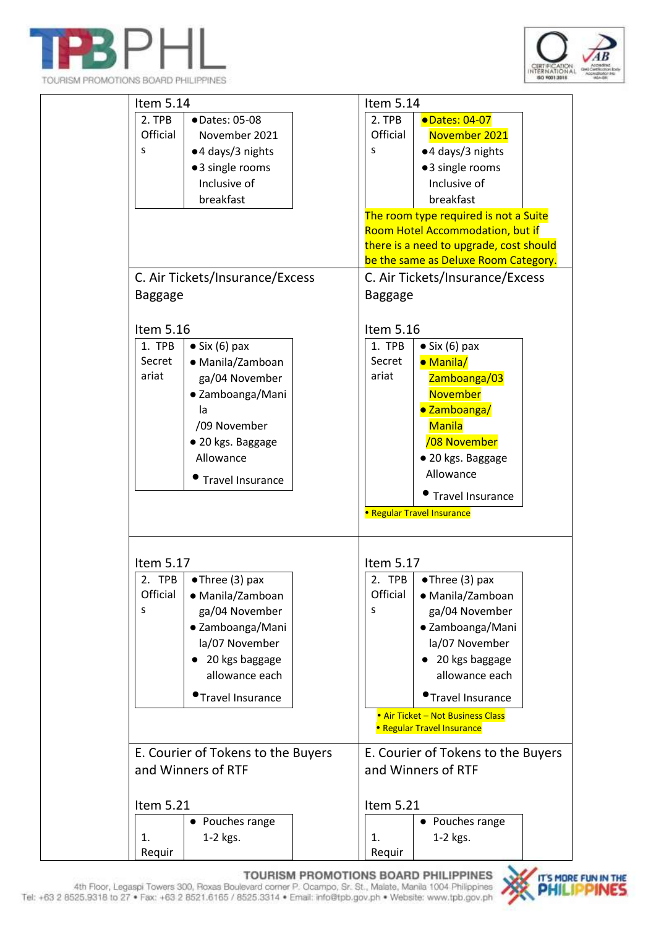







TOURISM PROMOTIONS BOARD PHILIPPINES 4th Floor, Legaspi Towers 300, Roxas Boulevard comer P. Ocampo, Sr. St., Malate, Manila 1004 Philippines Tel: +63 2 8525.9318 to 27 . Fax: +63 2 8521.6165 / 8525.3314 . Email: info@tpb.gov.ph . Website: www.tpb.gov.ph

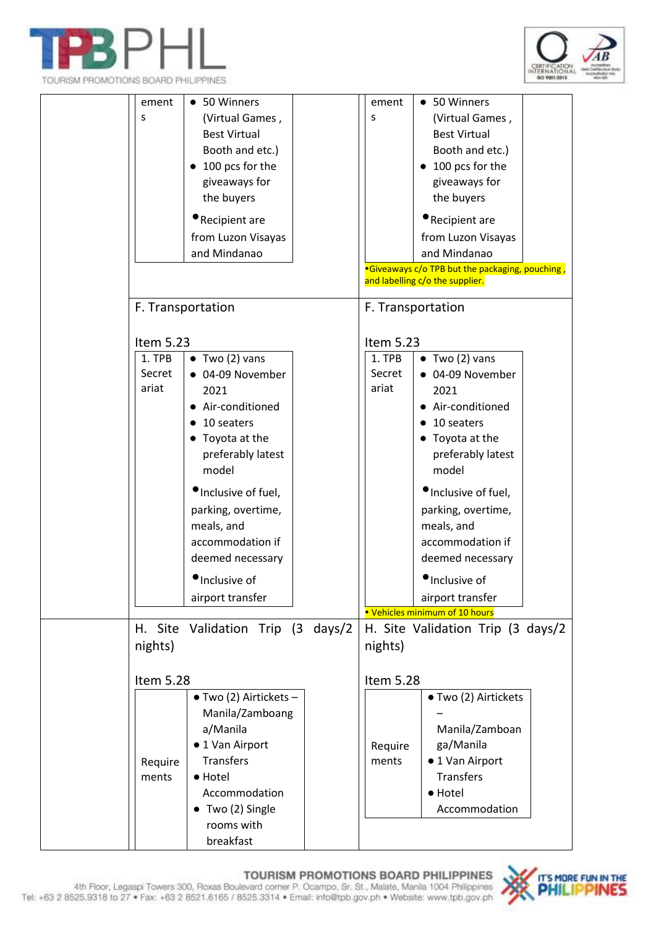





| ement     | • 50 Winners                      |  | ement                                           | • 50 Winners                   |  |
|-----------|-----------------------------------|--|-------------------------------------------------|--------------------------------|--|
| S         | (Virtual Games,                   |  | S                                               | (Virtual Games,                |  |
|           | <b>Best Virtual</b>               |  |                                                 | <b>Best Virtual</b>            |  |
|           | Booth and etc.)                   |  |                                                 | Booth and etc.)                |  |
|           | 100 pcs for the                   |  |                                                 | 100 pcs for the                |  |
|           | giveaways for                     |  |                                                 | giveaways for                  |  |
|           | the buyers                        |  |                                                 | the buyers                     |  |
|           |                                   |  |                                                 |                                |  |
|           | Recipient are                     |  |                                                 | Recipient are                  |  |
|           | from Luzon Visayas                |  |                                                 | from Luzon Visayas             |  |
|           | and Mindanao                      |  |                                                 | and Mindanao                   |  |
|           |                                   |  | •Giveaways c/o TPB but the packaging, pouching, |                                |  |
|           |                                   |  | and labelling c/o the supplier.                 |                                |  |
|           | F. Transportation                 |  |                                                 | F. Transportation              |  |
| Item 5.23 |                                   |  | Item 5.23                                       |                                |  |
| 1. TPB    | $\bullet$ Two (2) vans            |  | 1. TPB                                          | $\bullet$ Two (2) vans         |  |
| Secret    | 04-09 November                    |  | Secret                                          | • 04-09 November               |  |
| ariat     | 2021                              |  | ariat                                           | 2021                           |  |
|           | Air-conditioned                   |  |                                                 | • Air-conditioned              |  |
|           | 10 seaters                        |  |                                                 | 10 seaters                     |  |
|           | Toyota at the                     |  |                                                 | • Toyota at the                |  |
|           | preferably latest                 |  |                                                 | preferably latest              |  |
|           | model                             |  |                                                 | model                          |  |
|           |                                   |  |                                                 |                                |  |
|           | <i>•Inclusive of fuel</i> ,       |  |                                                 | •Inclusive of fuel,            |  |
|           | parking, overtime,                |  |                                                 | parking, overtime,             |  |
|           | meals, and                        |  |                                                 | meals, and                     |  |
|           | accommodation if                  |  |                                                 | accommodation if               |  |
|           | deemed necessary                  |  |                                                 | deemed necessary               |  |
|           | Inclusive of                      |  |                                                 | Inclusive of                   |  |
|           | airport transfer                  |  |                                                 | airport transfer               |  |
|           |                                   |  |                                                 | . Vehicles minimum of 10 hours |  |
|           | H. Site Validation Trip (3 days/2 |  | H. Site Validation Trip (3 days/2               |                                |  |
| nights)   |                                   |  | nights)                                         |                                |  |
|           |                                   |  |                                                 |                                |  |
| Item 5.28 |                                   |  | Item 5.28                                       |                                |  |
|           | $\bullet$ Two (2) Airtickets -    |  |                                                 | ● Two (2) Airtickets           |  |
|           | Manila/Zamboang                   |  |                                                 |                                |  |
|           | a/Manila                          |  |                                                 | Manila/Zamboan                 |  |
|           | ● 1 Van Airport                   |  | Require                                         | ga/Manila                      |  |
| Require   | <b>Transfers</b>                  |  | ments                                           | ● 1 Van Airport                |  |
| ments     | • Hotel                           |  |                                                 | Transfers                      |  |
|           | Accommodation                     |  |                                                 | · Hotel                        |  |
|           | $\bullet$ Two (2) Single          |  |                                                 | Accommodation                  |  |
|           | rooms with                        |  |                                                 |                                |  |
|           | breakfast                         |  |                                                 |                                |  |
|           |                                   |  |                                                 |                                |  |

TOURISM PROMOTIONS BOARD PHILIPPINES 4th Floor, Legaspi Towers 300, Roxas Boulevard comer P. Ocampo, Sr. St., Malate, Manila 1004 Philippines 4th Floor, Legaspi Towers 300, Roxas Boulevard comer P. Ocampo, Sr. St., Malate,

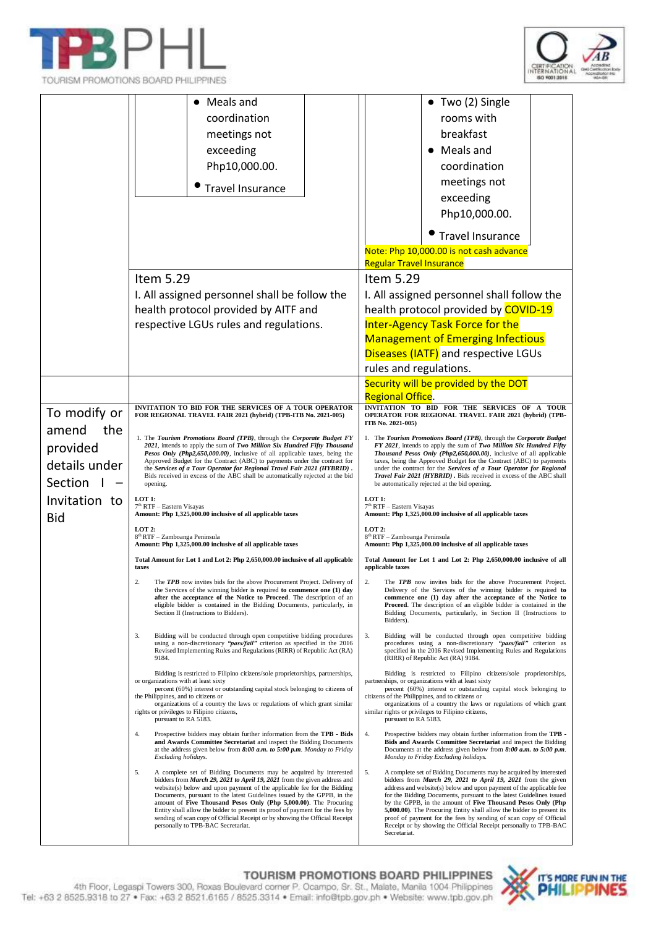





|               | Meals and                                                                                                                                                                                                                                                                                                                                                                                                                                                                                                                                                                           | $\bullet$ Two (2) Single                                                                                                                                                                                                                                                                                                                                                                                                                                                                                                                                                               |  |  |
|---------------|-------------------------------------------------------------------------------------------------------------------------------------------------------------------------------------------------------------------------------------------------------------------------------------------------------------------------------------------------------------------------------------------------------------------------------------------------------------------------------------------------------------------------------------------------------------------------------------|----------------------------------------------------------------------------------------------------------------------------------------------------------------------------------------------------------------------------------------------------------------------------------------------------------------------------------------------------------------------------------------------------------------------------------------------------------------------------------------------------------------------------------------------------------------------------------------|--|--|
|               | coordination                                                                                                                                                                                                                                                                                                                                                                                                                                                                                                                                                                        | rooms with                                                                                                                                                                                                                                                                                                                                                                                                                                                                                                                                                                             |  |  |
|               | meetings not                                                                                                                                                                                                                                                                                                                                                                                                                                                                                                                                                                        | breakfast                                                                                                                                                                                                                                                                                                                                                                                                                                                                                                                                                                              |  |  |
|               | exceeding                                                                                                                                                                                                                                                                                                                                                                                                                                                                                                                                                                           | Meals and                                                                                                                                                                                                                                                                                                                                                                                                                                                                                                                                                                              |  |  |
|               | Php10,000.00.                                                                                                                                                                                                                                                                                                                                                                                                                                                                                                                                                                       | coordination                                                                                                                                                                                                                                                                                                                                                                                                                                                                                                                                                                           |  |  |
|               |                                                                                                                                                                                                                                                                                                                                                                                                                                                                                                                                                                                     | meetings not                                                                                                                                                                                                                                                                                                                                                                                                                                                                                                                                                                           |  |  |
|               | <b>Travel Insurance</b>                                                                                                                                                                                                                                                                                                                                                                                                                                                                                                                                                             | exceeding                                                                                                                                                                                                                                                                                                                                                                                                                                                                                                                                                                              |  |  |
|               |                                                                                                                                                                                                                                                                                                                                                                                                                                                                                                                                                                                     | Php10,000.00.                                                                                                                                                                                                                                                                                                                                                                                                                                                                                                                                                                          |  |  |
|               |                                                                                                                                                                                                                                                                                                                                                                                                                                                                                                                                                                                     | <b>Travel Insurance</b>                                                                                                                                                                                                                                                                                                                                                                                                                                                                                                                                                                |  |  |
|               |                                                                                                                                                                                                                                                                                                                                                                                                                                                                                                                                                                                     | Note: Php 10,000.00 is not cash advance                                                                                                                                                                                                                                                                                                                                                                                                                                                                                                                                                |  |  |
|               |                                                                                                                                                                                                                                                                                                                                                                                                                                                                                                                                                                                     | <b>Regular Travel Insurance</b>                                                                                                                                                                                                                                                                                                                                                                                                                                                                                                                                                        |  |  |
|               | Item 5.29                                                                                                                                                                                                                                                                                                                                                                                                                                                                                                                                                                           | Item 5.29                                                                                                                                                                                                                                                                                                                                                                                                                                                                                                                                                                              |  |  |
|               | I. All assigned personnel shall be follow the                                                                                                                                                                                                                                                                                                                                                                                                                                                                                                                                       | I. All assigned personnel shall follow the                                                                                                                                                                                                                                                                                                                                                                                                                                                                                                                                             |  |  |
|               | health protocol provided by AITF and                                                                                                                                                                                                                                                                                                                                                                                                                                                                                                                                                | health protocol provided by COVID-19                                                                                                                                                                                                                                                                                                                                                                                                                                                                                                                                                   |  |  |
|               | respective LGUs rules and regulations.                                                                                                                                                                                                                                                                                                                                                                                                                                                                                                                                              | Inter-Agency Task Force for the                                                                                                                                                                                                                                                                                                                                                                                                                                                                                                                                                        |  |  |
|               |                                                                                                                                                                                                                                                                                                                                                                                                                                                                                                                                                                                     | <b>Management of Emerging Infectious</b>                                                                                                                                                                                                                                                                                                                                                                                                                                                                                                                                               |  |  |
|               |                                                                                                                                                                                                                                                                                                                                                                                                                                                                                                                                                                                     | Diseases (IATF) and respective LGUs                                                                                                                                                                                                                                                                                                                                                                                                                                                                                                                                                    |  |  |
|               |                                                                                                                                                                                                                                                                                                                                                                                                                                                                                                                                                                                     | rules and regulations.                                                                                                                                                                                                                                                                                                                                                                                                                                                                                                                                                                 |  |  |
|               |                                                                                                                                                                                                                                                                                                                                                                                                                                                                                                                                                                                     | Security will be provided by the DOT                                                                                                                                                                                                                                                                                                                                                                                                                                                                                                                                                   |  |  |
|               | <b>INVITATION TO BID FOR THE SERVICES OF A TOUR OPERATOR</b>                                                                                                                                                                                                                                                                                                                                                                                                                                                                                                                        | <b>Regional Office.</b><br>INVITATION TO BID FOR THE SERVICES OF A TOUR                                                                                                                                                                                                                                                                                                                                                                                                                                                                                                                |  |  |
| To modify or  | FOR REGIONAL TRAVEL FAIR 2021 (hybrid) (TPB-ITB No. 2021-005)                                                                                                                                                                                                                                                                                                                                                                                                                                                                                                                       | OPERATOR FOR REGIONAL TRAVEL FAIR 2021 (hybrid) (TPB-<br>ITB No. 2021-005)                                                                                                                                                                                                                                                                                                                                                                                                                                                                                                             |  |  |
| amend<br>the  | 1. The Tourism Promotions Board (TPB), through the Corporate Budget FY                                                                                                                                                                                                                                                                                                                                                                                                                                                                                                              | 1. The Tourism Promotions Board (TPB), through the Corporate Budget                                                                                                                                                                                                                                                                                                                                                                                                                                                                                                                    |  |  |
| provided      | 2021, intends to apply the sum of Two Million Six Hundred Fifty Thousand<br>Pesos Only (Php2,650,000.00), inclusive of all applicable taxes, being the                                                                                                                                                                                                                                                                                                                                                                                                                              | FY 2021, intends to apply the sum of Two Million Six Hundred Fifty<br>Thousand Pesos Only (Php2,650,000.00), inclusive of all applicable                                                                                                                                                                                                                                                                                                                                                                                                                                               |  |  |
| details under | Approved Budget for the Contract (ABC) to payments under the contract for<br>the Services of a Tour Operator for Regional Travel Fair 2021 (HYBRID).                                                                                                                                                                                                                                                                                                                                                                                                                                | taxes, being the Approved Budget for the Contract (ABC) to payments<br>under the contract for the Services of a Tour Operator for Regional                                                                                                                                                                                                                                                                                                                                                                                                                                             |  |  |
| Section       | Bids received in excess of the ABC shall be automatically rejected at the bid<br>opening.                                                                                                                                                                                                                                                                                                                                                                                                                                                                                           | Travel Fair 2021 (HYBRID). Bids received in excess of the ABC shall<br>be automatically rejected at the bid opening.                                                                                                                                                                                                                                                                                                                                                                                                                                                                   |  |  |
| Invitation to | LOT 1:                                                                                                                                                                                                                                                                                                                                                                                                                                                                                                                                                                              | LOT 1:                                                                                                                                                                                                                                                                                                                                                                                                                                                                                                                                                                                 |  |  |
| <b>Bid</b>    | 7 <sup>th</sup> RTF - Eastern Visayas<br>Amount: Php 1,325,000.00 inclusive of all applicable taxes                                                                                                                                                                                                                                                                                                                                                                                                                                                                                 | 7 <sup>th</sup> RTF - Eastern Visayas<br>Amount: Php 1,325,000.00 inclusive of all applicable taxes                                                                                                                                                                                                                                                                                                                                                                                                                                                                                    |  |  |
|               | $LOT2$ :<br>8 <sup>th</sup> RTF - Zamboanga Peninsula<br>Amount: Php 1,325,000.00 inclusive of all applicable taxes                                                                                                                                                                                                                                                                                                                                                                                                                                                                 | $LOT2$ :<br>8 <sup>th</sup> RTF - Zamboanga Peninsula<br>Amount: Php 1,325,000.00 inclusive of all applicable taxes                                                                                                                                                                                                                                                                                                                                                                                                                                                                    |  |  |
|               | Total Amount for Lot 1 and Lot 2: Php 2,650,000.00 inclusive of all applicable                                                                                                                                                                                                                                                                                                                                                                                                                                                                                                      | Total Amount for Lot 1 and Lot 2: Php 2,650,000.00 inclusive of all                                                                                                                                                                                                                                                                                                                                                                                                                                                                                                                    |  |  |
|               | taxes                                                                                                                                                                                                                                                                                                                                                                                                                                                                                                                                                                               | applicable taxes                                                                                                                                                                                                                                                                                                                                                                                                                                                                                                                                                                       |  |  |
|               | The TPB now invites bids for the above Procurement Project. Delivery of<br>the Services of the winning bidder is required to commence one $(1)$ day<br>after the acceptance of the Notice to Proceed. The description of an<br>eligible bidder is contained in the Bidding Documents, particularly, in<br>Section II (Instructions to Bidders).                                                                                                                                                                                                                                     | The TPB now invites bids for the above Procurement Project.<br>Delivery of the Services of the winning bidder is required to<br>commence one (1) day after the acceptance of the Notice to<br>Proceed. The description of an eligible bidder is contained in the<br>Bidding Documents, particularly, in Section II (Instructions to<br>Bidders).                                                                                                                                                                                                                                       |  |  |
|               | 3.<br>Bidding will be conducted through open competitive bidding procedures<br>using a non-discretionary "pass/fail" criterion as specified in the 2016<br>Revised Implementing Rules and Regulations (RIRR) of Republic Act (RA)<br>9184.                                                                                                                                                                                                                                                                                                                                          | 3.<br>Bidding will be conducted through open competitive bidding<br>procedures using a non-discretionary "pass/fail" criterion as<br>specified in the 2016 Revised Implementing Rules and Regulations<br>(RIRR) of Republic Act (RA) 9184.                                                                                                                                                                                                                                                                                                                                             |  |  |
|               | Bidding is restricted to Filipino citizens/sole proprietorships, partnerships,<br>or organizations with at least sixty<br>percent (60%) interest or outstanding capital stock belonging to citizens of<br>the Philippines, and to citizens or<br>organizations of a country the laws or regulations of which grant similar<br>rights or privileges to Filipino citizens,<br>pursuant to RA 5183.                                                                                                                                                                                    | Bidding is restricted to Filipino citizens/sole proprietorships,<br>partnerships, or organizations with at least sixty<br>percent (60%) interest or outstanding capital stock belonging to<br>citizens of the Philippines, and to citizens or<br>organizations of a country the laws or regulations of which grant<br>similar rights or privileges to Filipino citizens,<br>pursuant to RA 5183.                                                                                                                                                                                       |  |  |
|               | Prospective bidders may obtain further information from the TPB - Bids<br>4.<br>and Awards Committee Secretariat and inspect the Bidding Documents<br>at the address given below from $8:00$ a.m. to $5:00$ p.m. Monday to Friday<br>Excluding holidays.                                                                                                                                                                                                                                                                                                                            | 4.<br>Prospective bidders may obtain further information from the TPB -<br>Bids and Awards Committee Secretariat and inspect the Bidding<br>Documents at the address given below from $8:00$ a.m. to $5:00$ p.m.<br>Monday to Friday Excluding holidays.                                                                                                                                                                                                                                                                                                                               |  |  |
|               | 5.<br>A complete set of Bidding Documents may be acquired by interested<br>bidders from March 29, 2021 to April 19, 2021 from the given address and<br>website(s) below and upon payment of the applicable fee for the Bidding<br>Documents, pursuant to the latest Guidelines issued by the GPPB, in the<br>amount of Five Thousand Pesos Only (Php 5,000.00). The Procuring<br>Entity shall allow the bidder to present its proof of payment for the fees by<br>sending of scan copy of Official Receipt or by showing the Official Receipt<br>personally to TPB-BAC Secretariat. | A complete set of Bidding Documents may be acquired by interested<br>5.<br>bidders from March 29, 2021 to April 19, 2021 from the given<br>address and website(s) below and upon payment of the applicable fee<br>for the Bidding Documents, pursuant to the latest Guidelines issued<br>by the GPPB, in the amount of Five Thousand Pesos Only (Php<br>5,000.00). The Procuring Entity shall allow the bidder to present its<br>proof of payment for the fees by sending of scan copy of Official<br>Receipt or by showing the Official Receipt personally to TPB-BAC<br>Secretariat. |  |  |

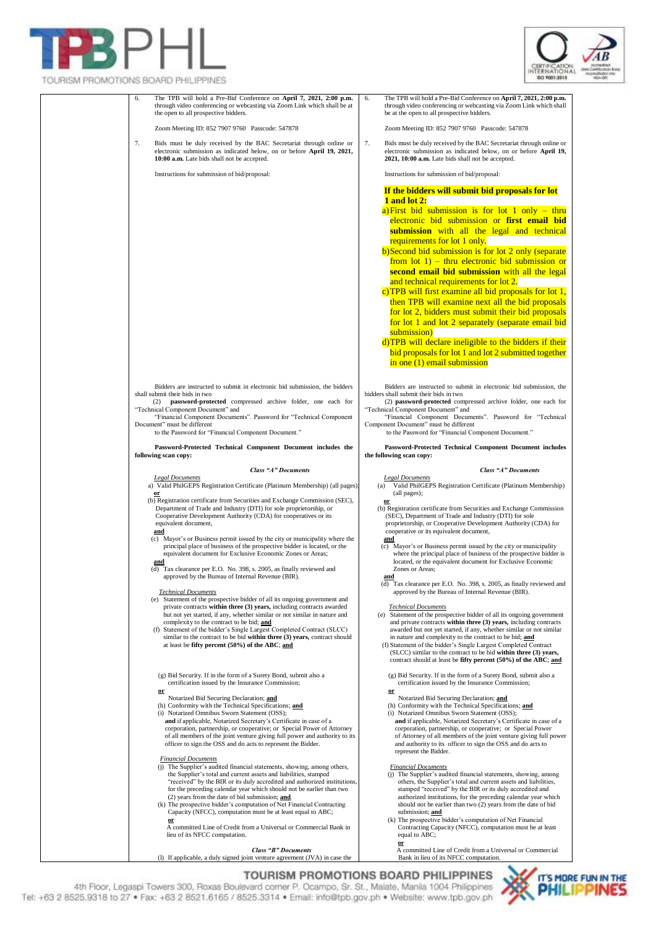



| RUSIN FRONTO RONG DUMBER FRIEID BNGG                                                                                                                                                                                                                                                                                                                                                                                                                                                                                                                                                                                                                                                                                                                                                                                                                                                                                                                                                                                                                                                                                                                                                                                                                                                                                                                                                                                                                                                                                                                                                                                                                                                                                                                                                                              |                                                                                                                                                                                                                                                                                                                                                                                                                                                                                                                                                                                                                                                                                                                                                                                                                                                                                                                                                                                                                                                                                                                                                                                                                                                                                                                                                                                                                                                                                                                                                                                                                                                                                                                                                                                                           |
|-------------------------------------------------------------------------------------------------------------------------------------------------------------------------------------------------------------------------------------------------------------------------------------------------------------------------------------------------------------------------------------------------------------------------------------------------------------------------------------------------------------------------------------------------------------------------------------------------------------------------------------------------------------------------------------------------------------------------------------------------------------------------------------------------------------------------------------------------------------------------------------------------------------------------------------------------------------------------------------------------------------------------------------------------------------------------------------------------------------------------------------------------------------------------------------------------------------------------------------------------------------------------------------------------------------------------------------------------------------------------------------------------------------------------------------------------------------------------------------------------------------------------------------------------------------------------------------------------------------------------------------------------------------------------------------------------------------------------------------------------------------------------------------------------------------------|-----------------------------------------------------------------------------------------------------------------------------------------------------------------------------------------------------------------------------------------------------------------------------------------------------------------------------------------------------------------------------------------------------------------------------------------------------------------------------------------------------------------------------------------------------------------------------------------------------------------------------------------------------------------------------------------------------------------------------------------------------------------------------------------------------------------------------------------------------------------------------------------------------------------------------------------------------------------------------------------------------------------------------------------------------------------------------------------------------------------------------------------------------------------------------------------------------------------------------------------------------------------------------------------------------------------------------------------------------------------------------------------------------------------------------------------------------------------------------------------------------------------------------------------------------------------------------------------------------------------------------------------------------------------------------------------------------------------------------------------------------------------------------------------------------------|
| The TPB will hold a Pre-Bid Conference on April 7, 2021, 2:00 p.m.<br>6.<br>through video conferencing or webcasting via Zoom Link which shall be at<br>the open to all prospective bidders.                                                                                                                                                                                                                                                                                                                                                                                                                                                                                                                                                                                                                                                                                                                                                                                                                                                                                                                                                                                                                                                                                                                                                                                                                                                                                                                                                                                                                                                                                                                                                                                                                      | The TPB will hold a Pre-Bid Conference on April 7, 2021, 2:00 p.m.<br>6.<br>through video conferencing or webcasting via Zoom Link which shall<br>be at the open to all prospective bidders.                                                                                                                                                                                                                                                                                                                                                                                                                                                                                                                                                                                                                                                                                                                                                                                                                                                                                                                                                                                                                                                                                                                                                                                                                                                                                                                                                                                                                                                                                                                                                                                                              |
| Zoom Meeting ID: 852 7907 9760 Passcode: 547878                                                                                                                                                                                                                                                                                                                                                                                                                                                                                                                                                                                                                                                                                                                                                                                                                                                                                                                                                                                                                                                                                                                                                                                                                                                                                                                                                                                                                                                                                                                                                                                                                                                                                                                                                                   | Zoom Meeting ID: 852 7907 9760 Passcode: 547878                                                                                                                                                                                                                                                                                                                                                                                                                                                                                                                                                                                                                                                                                                                                                                                                                                                                                                                                                                                                                                                                                                                                                                                                                                                                                                                                                                                                                                                                                                                                                                                                                                                                                                                                                           |
| 7.<br>Bids must be duly received by the BAC Secretariat through online or<br>electronic submission as indicated below, on or before April 19, 2021,<br>10:00 a.m. Late bids shall not be accepted.                                                                                                                                                                                                                                                                                                                                                                                                                                                                                                                                                                                                                                                                                                                                                                                                                                                                                                                                                                                                                                                                                                                                                                                                                                                                                                                                                                                                                                                                                                                                                                                                                | 7.<br>Bids must be duly received by the BAC Secretariat through online or<br>electronic submission as indicated below, on or before April 19,<br>2021, 10:00 a.m. Late bids shall not be accepted.                                                                                                                                                                                                                                                                                                                                                                                                                                                                                                                                                                                                                                                                                                                                                                                                                                                                                                                                                                                                                                                                                                                                                                                                                                                                                                                                                                                                                                                                                                                                                                                                        |
| Instructions for submission of bid/proposal:                                                                                                                                                                                                                                                                                                                                                                                                                                                                                                                                                                                                                                                                                                                                                                                                                                                                                                                                                                                                                                                                                                                                                                                                                                                                                                                                                                                                                                                                                                                                                                                                                                                                                                                                                                      | Instructions for submission of bid/proposal:                                                                                                                                                                                                                                                                                                                                                                                                                                                                                                                                                                                                                                                                                                                                                                                                                                                                                                                                                                                                                                                                                                                                                                                                                                                                                                                                                                                                                                                                                                                                                                                                                                                                                                                                                              |
|                                                                                                                                                                                                                                                                                                                                                                                                                                                                                                                                                                                                                                                                                                                                                                                                                                                                                                                                                                                                                                                                                                                                                                                                                                                                                                                                                                                                                                                                                                                                                                                                                                                                                                                                                                                                                   | If the bidders will submit bid proposals for lot<br>1 and lot 2:<br>a) First bid submission is for lot 1 only $-$ thru<br>electronic bid submission or first email bid<br>submission with all the legal and technical<br>requirements for lot 1 only.<br>b)Second bid submission is for lot 2 only (separate<br>from $\left[ \text{tot } 1 \right]$ - thru electronic bid submission or<br>second email bid submission with all the legal<br>and technical requirements for lot 2.<br>c) TPB will first examine all bid proposals for lot 1,<br>then TPB will examine next all the bid proposals<br>for lot 2, bidders must submit their bid proposals<br>for lot 1 and lot 2 separately (separate email bid<br>submission)<br>d)TPB will declare ineligible to the bidders if their<br>bid proposals for lot 1 and lot 2 submitted together<br>$\frac{1}{2}$ in one (1) email submission                                                                                                                                                                                                                                                                                                                                                                                                                                                                                                                                                                                                                                                                                                                                                                                                                                                                                                                 |
| Bidders are instructed to submit in electronic bid submission, the bidders<br>shall submit their bids in two<br>password-protected compressed archive folder, one each for<br>(2)<br>"Technical Component Document" and<br>"Financial Component Documents". Password for "Technical Component<br>Document" must be different<br>to the Password for "Financial Component Document."                                                                                                                                                                                                                                                                                                                                                                                                                                                                                                                                                                                                                                                                                                                                                                                                                                                                                                                                                                                                                                                                                                                                                                                                                                                                                                                                                                                                                               | Bidders are instructed to submit in electronic bid submission, the<br>bidders shall submit their bids in two<br>(2) password-protected compressed archive folder, one each for<br>"Technical Component Document" and<br>"Financial Component Documents". Password for "Technical<br>Component Document" must be different<br>to the Password for "Financial Component Document."                                                                                                                                                                                                                                                                                                                                                                                                                                                                                                                                                                                                                                                                                                                                                                                                                                                                                                                                                                                                                                                                                                                                                                                                                                                                                                                                                                                                                          |
| Password-Protected Technical Component Document includes the<br>following scan copy:                                                                                                                                                                                                                                                                                                                                                                                                                                                                                                                                                                                                                                                                                                                                                                                                                                                                                                                                                                                                                                                                                                                                                                                                                                                                                                                                                                                                                                                                                                                                                                                                                                                                                                                              | Password-Protected Technical Component Document includes<br>the following scan copy:                                                                                                                                                                                                                                                                                                                                                                                                                                                                                                                                                                                                                                                                                                                                                                                                                                                                                                                                                                                                                                                                                                                                                                                                                                                                                                                                                                                                                                                                                                                                                                                                                                                                                                                      |
| Class "A" Documents<br><b>Legal Documents</b><br>(a) Valid PhilGEPS Registration Certificate (Platinum Membership) (all pages)<br>or<br>(b) Registration certificate from Securities and Exchange Commission (SEC),<br>Department of Trade and Industry (DTI) for sole proprietorship, or<br>Cooperative Development Authority (CDA) for cooperatives or its<br>equivalent document,<br>and<br>(c) Mayor's or Business permit issued by the city or municipality where the<br>principal place of business of the prospective bidder is located, or the<br>equivalent document for Exclusive Economic Zones or Areas;<br>and<br>(d) Tax clearance per E.O. No. 398, s. 2005, as finally reviewed and<br>approved by the Bureau of Internal Revenue (BIR).<br><b>Technical Documents</b><br>(e) Statement of the prospective bidder of all its ongoing government and<br>private contracts within three (3) years, including contracts awarded<br>but not yet started, if any, whether similar or not similar in nature and<br>complexity to the contract to be bid; and<br>Statement of the bidder's Single Largest Completed Contract (SLCC)<br>(f)<br>similar to the contract to be bid within three (3) years, contract should<br>at least be fifty percent $(50\%)$ of the ABC; and<br>(g) Bid Security. If in the form of a Surety Bond, submit also a<br>certification issued by the Insurance Commission;<br>$\mathbf{or}$<br>Notarized Bid Securing Declaration; and<br>(h) Conformity with the Technical Specifications; and<br>(i) Notarized Omnibus Sworn Statement (OSS);<br>and if applicable, Notarized Secretary's Certificate in case of a<br>corporation, partnership, or cooperative; or Special Power of Attorney<br>of all members of the joint venture giving full power and authority to its | <b>Class "A" Documents</b><br><b>Legal Documents</b><br>Valid PhilGEPS Registration Certificate (Platinum Membership)<br>(a)<br>(all pages);<br>0r<br>(b) Registration certificate from Securities and Exchange Commission<br>(SEC), Department of Trade and Industry (DTI) for sole<br>proprietorship, or Cooperative Development Authority (CDA) for<br>cooperative or its equivalent document,<br>and<br>(c) Mayor's or Business permit issued by the city or municipality<br>where the principal place of business of the prospective bidder is<br>located, or the equivalent document for Exclusive Economic<br>Zones or Areas:<br>and<br>(d) Tax clearance per E.O. No. 398, s. 2005, as finally reviewed and<br>approved by the Bureau of Internal Revenue (BIR).<br><b>Technical Documents</b><br>Statement of the prospective bidder of all its ongoing government<br>(e)<br>and private contracts within three (3) years, including contracts<br>awarded but not yet started, if any, whether similar or not similar<br>in nature and complexity to the contract to be bid; and<br>(f) Statement of the bidder's Single Largest Completed Contract<br>(SLCC) similar to the contract to be bid within three (3) years,<br>contract should at least be fifty percent (50%) of the ABC; and<br>(g) Bid Security. If in the form of a Surety Bond, submit also a<br>certification issued by the Insurance Commission;<br>$\mathbf{or}$<br>Notarized Bid Securing Declaration; and<br>(h) Conformity with the Technical Specifications; and<br>(i) Notarized Omnibus Sworn Statement (OSS);<br>and if applicable, Notarized Secretary's Certificate in case of a<br>corporation, partnership, or cooperative; or Special Power<br>of Attorney of all members of the joint venture giving full power |
| officer to sign the OSS and do acts to represent the Bidder.<br><b>Financial Documents</b><br>(j) The Supplier's audited financial statements, showing, among others,<br>the Supplier's total and current assets and liabilities, stamped<br>"received" by the BIR or its duly accredited and authorized institutions,<br>for the preceding calendar year which should not be earlier than two<br>(2) years from the date of bid submission; and<br>(k) The prospective bidder's computation of Net Financial Contracting<br>Capacity (NFCC), computation must be at least equal to ABC;<br>0r<br>A committed Line of Credit from a Universal or Commercial Bank in<br>lieu of its NFCC computation.<br><b>Class "B" Documents</b>                                                                                                                                                                                                                                                                                                                                                                                                                                                                                                                                                                                                                                                                                                                                                                                                                                                                                                                                                                                                                                                                                | and authority to its officer to sign the OSS and do acts to<br>represent the Bidder.<br><b>Financial Documents</b><br>(j) The Supplier's audited financial statements, showing, among<br>others, the Supplier's total and current assets and liabilities,<br>stamped "received" by the BIR or its duly accredited and<br>authorized institutions, for the preceding calendar year which<br>should not be earlier than two (2) years from the date of bid<br>submission; and<br>(k) The prospective bidder's computation of Net Financial<br>Contracting Capacity (NFCC), computation must be at least<br>equal to ABC;<br>$\mathbf{or}$<br>A committed Line of Credit from a Universal or Commercial                                                                                                                                                                                                                                                                                                                                                                                                                                                                                                                                                                                                                                                                                                                                                                                                                                                                                                                                                                                                                                                                                                      |
| (I) If applicable, a duly signed joint venture agreement (JVA) in case the                                                                                                                                                                                                                                                                                                                                                                                                                                                                                                                                                                                                                                                                                                                                                                                                                                                                                                                                                                                                                                                                                                                                                                                                                                                                                                                                                                                                                                                                                                                                                                                                                                                                                                                                        | Bank in lieu of its NFCC computation.                                                                                                                                                                                                                                                                                                                                                                                                                                                                                                                                                                                                                                                                                                                                                                                                                                                                                                                                                                                                                                                                                                                                                                                                                                                                                                                                                                                                                                                                                                                                                                                                                                                                                                                                                                     |

TOURISM PROMOTIONS BOARD PHILIPPINES 4th Floor, Legaspi Towers 300, Roxas Boulevard comer P. Ocampo, Sr. St., Malate, Manila 1004 Philippines 4th Floor, Legaspi Towers 300, Roxas Boulevard comer P. Ocampo, Sr. St., Malate,